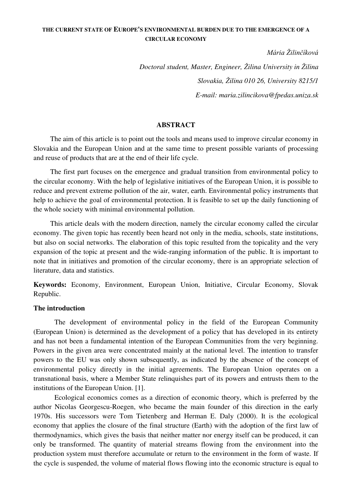# **THE CURRENT STATE OF EUROPE'S ENVIRONMENTAL BURDEN DUE TO THE EMERGENCE OF A CIRCULAR ECONOMY**

*Mária Žilinčíková*

*Doctoral student, Master, Engineer, Žilina University in Žilina Slovakia, Žilina 010 26, University 8215/1 E-mail: maria.zilincikova@fpedas.uniza.sk* 

#### **ABSTRACT**

The aim of this article is to point out the tools and means used to improve circular economy in Slovakia and the European Union and at the same time to present possible variants of processing and reuse of products that are at the end of their life cycle.

The first part focuses on the emergence and gradual transition from environmental policy to the circular economy. With the help of legislative initiatives of the European Union, it is possible to reduce and prevent extreme pollution of the air, water, earth. Environmental policy instruments that help to achieve the goal of environmental protection. It is feasible to set up the daily functioning of the whole society with minimal environmental pollution.

This article deals with the modern direction, namely the circular economy called the circular economy. The given topic has recently been heard not only in the media, schools, state institutions, but also on social networks. The elaboration of this topic resulted from the topicality and the very expansion of the topic at present and the wide-ranging information of the public. It is important to note that in initiatives and promotion of the circular economy, there is an appropriate selection of literature, data and statistics.

**Keywords:** Economy, Environment, European Union, Initiative, Circular Economy, Slovak Republic.

#### **The introduction**

The development of environmental policy in the field of the European Community (European Union) is determined as the development of a policy that has developed in its entirety and has not been a fundamental intention of the European Communities from the very beginning. Powers in the given area were concentrated mainly at the national level. The intention to transfer powers to the EU was only shown subsequently, as indicated by the absence of the concept of environmental policy directly in the initial agreements. The European Union operates on a transnational basis, where a Member State relinquishes part of its powers and entrusts them to the institutions of the European Union. [1].

Ecological economics comes as a direction of economic theory, which is preferred by the author Nicolas Georgescu-Roegen, who became the main founder of this direction in the early 1970s. His successors were Tom Tietenberg and Herman E. Daly (2000). It is the ecological economy that applies the closure of the final structure (Earth) with the adoption of the first law of thermodynamics, which gives the basis that neither matter nor energy itself can be produced, it can only be transformed. The quantity of material streams flowing from the environment into the production system must therefore accumulate or return to the environment in the form of waste. If the cycle is suspended, the volume of material flows flowing into the economic structure is equal to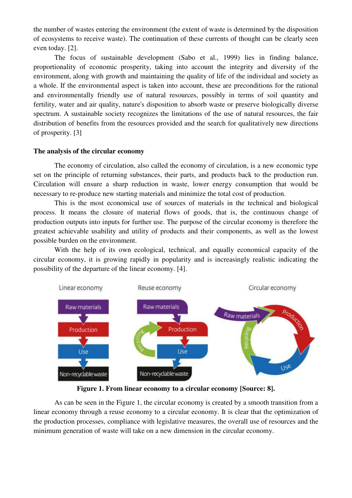the number of wastes entering the environment (the extent of waste is determined by the disposition of ecosystems to receive waste). The continuation of these currents of thought can be clearly seen even today. [2].

The focus of sustainable development (Sabo et al., 1999) lies in finding balance, proportionality of economic prosperity, taking into account the integrity and diversity of the environment, along with growth and maintaining the quality of life of the individual and society as a whole. If the environmental aspect is taken into account, these are preconditions for the rational and environmentally friendly use of natural resources, possibly in terms of soil quantity and fertility, water and air quality, nature's disposition to absorb waste or preserve biologically diverse spectrum. A sustainable society recognizes the limitations of the use of natural resources, the fair distribution of benefits from the resources provided and the search for qualitatively new directions of prosperity. [3]

## **The analysis of the circular economy**

The economy of circulation, also called the economy of circulation, is a new economic type set on the principle of returning substances, their parts, and products back to the production run. Circulation will ensure a sharp reduction in waste, lower energy consumption that would be necessary to re-produce new starting materials and minimize the total cost of production.

This is the most economical use of sources of materials in the technical and biological process. It means the closure of material flows of goods, that is, the continuous change of production outputs into inputs for further use. The purpose of the circular economy is therefore the greatest achievable usability and utility of products and their components, as well as the lowest possible burden on the environment.

With the help of its own ecological, technical, and equally economical capacity of the circular economy, it is growing rapidly in popularity and is increasingly realistic indicating the possibility of the departure of the linear economy. [4].



**Figure 1. From linear economy to a circular economy [Source: 8].**

As can be seen in the Figure 1, the circular economy is created by a smooth transition from a linear economy through a reuse economy to a circular economy. It is clear that the optimization of the production processes, compliance with legislative measures, the overall use of resources and the minimum generation of waste will take on a new dimension in the circular economy.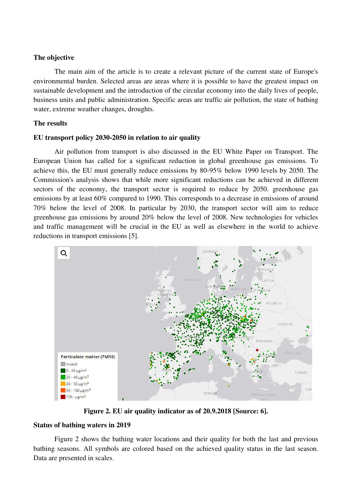#### **The objective**

The main aim of the article is to create a relevant picture of the current state of Europe's environmental burden. Selected areas are areas where it is possible to have the greatest impact on sustainable development and the introduction of the circular economy into the daily lives of people, business units and public administration. Specific areas are traffic air pollution, the state of bathing water, extreme weather changes, droughts.

#### **The results**

## **EU transport policy 2030-2050 in relation to air quality**

Air pollution from transport is also discussed in the EU White Paper on Transport. The European Union has called for a significant reduction in global greenhouse gas emissions. To achieve this, the EU must generally reduce emissions by 80-95% below 1990 levels by 2050. The Commission's analysis shows that while more significant reductions can be achieved in different sectors of the economy, the transport sector is required to reduce by 2050. greenhouse gas emissions by at least 60% compared to 1990. This corresponds to a decrease in emissions of around 70% below the level of 2008. In particular by 2030, the transport sector will aim to reduce greenhouse gas emissions by around 20% below the level of 2008. New technologies for vehicles and traffic management will be crucial in the EU as well as elsewhere in the world to achieve reductions in transport emissions [5].



**Figure 2. EU air quality indicator as of 20.9.2018 [Source: 6].**

## **Status of bathing waters in 2019**

Figure 2 shows the bathing water locations and their quality for both the last and previous bathing seasons. All symbols are colored based on the achieved quality status in the last season. Data are presented in scales.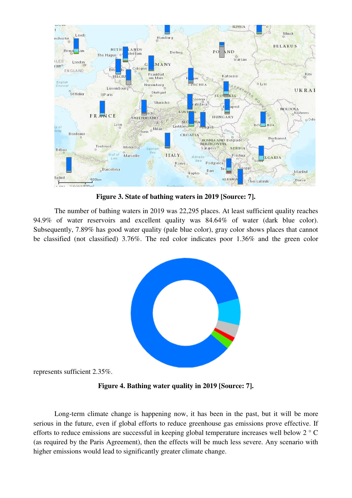

**Figure 3. State of bathing waters in 2019 [Source: 7].**

The number of bathing waters in 2019 was 22,295 places. At least sufficient quality reaches 94.9% of water reservoirs and excellent quality was 84.64% of water (dark blue color). Subsequently, 7.89% has good water quality (pale blue color), gray color shows places that cannot be classified (not classified) 3.76%. The red color indicates poor 1.36% and the green color



represents sufficient 2.35%.

**Figure 4. Bathing water quality in 2019 [Source: 7].**

Long-term climate change is happening now, it has been in the past, but it will be more serious in the future, even if global efforts to reduce greenhouse gas emissions prove effective. If efforts to reduce emissions are successful in keeping global temperature increases well below 2 ° C (as required by the Paris Agreement), then the effects will be much less severe. Any scenario with higher emissions would lead to significantly greater climate change.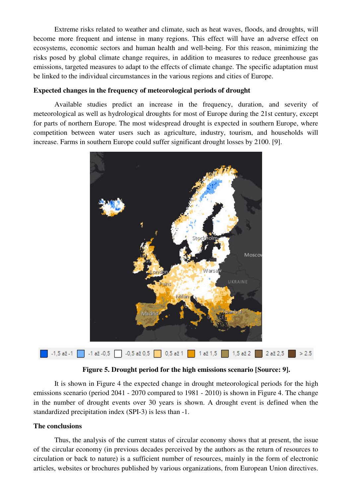Extreme risks related to weather and climate, such as heat waves, floods, and droughts, will become more frequent and intense in many regions. This effect will have an adverse effect on ecosystems, economic sectors and human health and well-being. For this reason, minimizing the risks posed by global climate change requires, in addition to measures to reduce greenhouse gas emissions, targeted measures to adapt to the effects of climate change. The specific adaptation must be linked to the individual circumstances in the various regions and cities of Europe.

# **Expected changes in the frequency of meteorological periods of drought**

Available studies predict an increase in the frequency, duration, and severity of meteorological as well as hydrological droughts for most of Europe during the 21st century, except for parts of northern Europe. The most widespread drought is expected in southern Europe, where competition between water users such as agriculture, industry, tourism, and households will increase. Farms in southern Europe could suffer significant drought losses by 2100. [9].



**Figure 5. Drought period for the high emissions scenario [Source: 9].**

It is shown in Figure 4 the expected change in drought meteorological periods for the high emissions scenario (period 2041 - 2070 compared to 1981 - 2010) is shown in Figure 4. The change in the number of drought events over 30 years is shown. A drought event is defined when the standardized precipitation index (SPI-3) is less than -1.

## **The conclusions**

Thus, the analysis of the current status of circular economy shows that at present, the issue of the circular economy (in previous decades perceived by the authors as the return of resources to circulation or back to nature) is a sufficient number of resources, mainly in the form of electronic articles, websites or brochures published by various organizations, from European Union directives.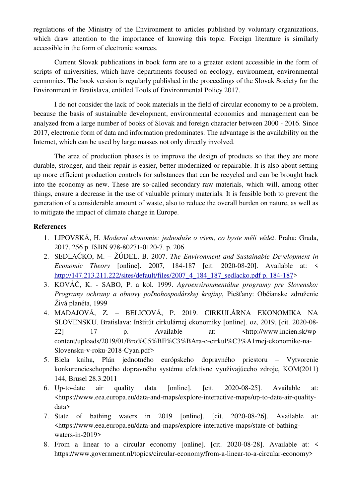regulations of the Ministry of the Environment to articles published by voluntary organizations, which draw attention to the importance of knowing this topic. Foreign literature is similarly accessible in the form of electronic sources.

Current Slovak publications in book form are to a greater extent accessible in the form of scripts of universities, which have departments focused on ecology, environment, environmental economics. The book version is regularly published in the proceedings of the Slovak Society for the Environment in Bratislava, entitled Tools of Environmental Policy 2017.

I do not consider the lack of book materials in the field of circular economy to be a problem, because the basis of sustainable development, environmental economics and management can be analyzed from a large number of books of Slovak and foreign character between 2000 - 2016. Since 2017, electronic form of data and information predominates. The advantage is the availability on the Internet, which can be used by large masses not only directly involved.

The area of production phases is to improve the design of products so that they are more durable, stronger, and their repair is easier, better modernized or repairable. It is also about setting up more efficient production controls for substances that can be recycled and can be brought back into the economy as new. These are so-called secondary raw materials, which will, among other things, ensure a decrease in the use of valuable primary materials. It is feasible both to prevent the generation of a considerable amount of waste, also to reduce the overall burden on nature, as well as to mitigate the impact of climate change in Europe.

#### **References**

- 1. LIPOVSKÁ, H. *Moderní ekonomie: jednoduše o všem, co byste měli vědět*. Praha: Grada, 2017, 256 p. ISBN 978-80271-0120-7. p. 206
- 2. SEDLAČKO, M. ŽÚDEL, B. 2007. *The Environment and Sustainable Development in Economic Theory* [online]. 2007, 184-187 [cit. 2020-08-20]. Available at: < [http://147.213.211.222/sites/default/files/2007\\_4\\_184\\_187\\_sedlacko.pdf p. 184-187>](http://147.213.211.222/sites/default/files/2007_4_184_187_sedlacko.pdf%20p.%20184-187)
- 3. KOVÁČ, K. SABO, P. a kol. 1999. *Agroenvironmentálne programy pre Slovensko: Programy ochrany a obnovy poľnohospodárskej krajiny*, Piešťany: Občianske združenie Živá planéta, 1999
- 4. MADAJOVÁ, Z. BELICOVÁ, P. 2019. CIRKULÁRNA EKONOMIKA NA SLOVENSKU. Bratislava: Inštitút cirkulárnej ekonomiky [online]. oz, 2019, [cit. 2020-08- 22] 17 p. Available at:  $\langle \frac{http://www.incienืs/(www.incien.sk/wp-1))}{http://www.incien.sk/wp-1})$ content/uploads/2019/01/Bro%C5%BE%C3%BAra-o-cirkul%C3%A1rnej-ekonomike-na-Slovensku-v-roku-2018-Cyan.pdf>
- 5. Biela kniha, Plán jednotného európskeho dopravného priestoru Vytvorenie konkurencieschopného dopravného systému efektívne využívajúceho zdroje, KOM(2011) 144, Brusel 28.3.2011
- 6. Up-to-date air quality data [online]. [cit. 2020-08-25]. Available at: [<https://www.eea.europa.eu/data-and-maps/explore-interactive-maps/up-to-date-air-quality](https://www.eea.europa.eu/data-and-maps/explore-interactive-maps/up-to-date-air-quality-data)[data>](https://www.eea.europa.eu/data-and-maps/explore-interactive-maps/up-to-date-air-quality-data)
- 7. State of bathing waters in 2019 [online]. [cit. 2020-08-26]. Available at: [<https://www.eea.europa.eu/data-and-maps/explore-interactive-maps/state-of-bathing](https://www.eea.europa.eu/data-and-maps/explore-interactive-maps/state-of-bathing-waters-in-2019)[waters-in-2019>](https://www.eea.europa.eu/data-and-maps/explore-interactive-maps/state-of-bathing-waters-in-2019)
- 8. From a linear to a circular economy [online]. [cit. 2020-08-28]. Available at: < [https://www.government.nl/topics/circular-economy/from-a-linear-to-a-circular-economy>](https://www.government.nl/topics/circular-economy/from-a-linear-to-a-circular-economy)